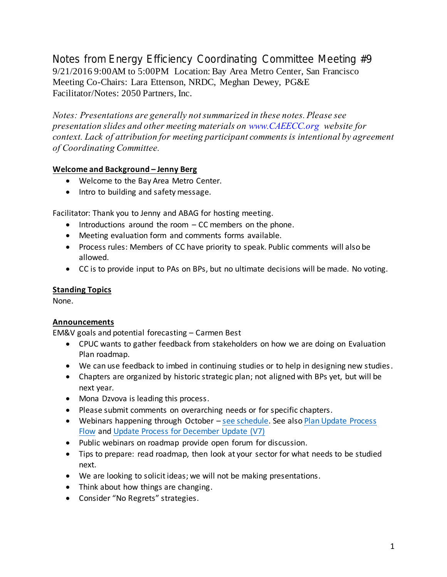Notes from Energy Efficiency Coordinating Committee Meeting #9 9/21/2016 9:00AM to 5:00PM Location: Bay Area Metro Center, San Francisco Meeting Co-Chairs: Lara Ettenson, NRDC, Meghan Dewey, PG&E Facilitator/Notes: 2050 Partners, Inc.

*Notes: Presentations are generally not summarized in these notes. Please see presentation slides and other meeting materials on www.CAEECC.org website for context. Lack of attribution for meeting participant comments is intentional by agreement of Coordinating Committee.*

## **Welcome and Background – Jenny Berg**

- Welcome to the Bay Area Metro Center.
- Intro to building and safety message.

Facilitator: Thank you to Jenny and ABAG for hosting meeting.

- $\bullet$  Introductions around the room  $-CC$  members on the phone.
- Meeting evaluation form and comments forms available.
- Process rules: Members of CC have priority to speak. Public comments will also be allowed.
- CC is to provide input to PAs on BPs, but no ultimate decisions will be made. No voting.

## **Standing Topics**

None.

# **Announcements**

EM&V goals and potential forecasting – Carmen Best

- CPUC wants to gather feedback from stakeholders on how we are doing on Evaluation Plan roadmap.
- We can use feedback to imbed in continuing studies or to help in designing new studies.
- Chapters are organized by historic strategic plan; not aligned with BPs yet, but will be next year.
- Mona Dzvova is leading this process.
- Please submit comments on overarching needs or for specific chapters.
- Webinars happening through October [see schedule.](http://media.wix.com/ugd/0c9650_6f0f6d4d52934a0c9318178ce6ff6fe5.pdf) See also Plan Update Process [Flow](http://media.wix.com/ugd/0c9650_bc084fcb45ba400cbd4961455410a5e3.pdf) and [Update Process for December Update \(V7\)](http://media.wix.com/ugd/0c9650_b7dcfea53ae94450978e058fddae65fa.pdf)
- Public webinars on roadmap provide open forum for discussion.
- Tips to prepare: read roadmap, then look at your sector for what needs to be studied next.
- We are looking to solicit ideas; we will not be making presentations.
- Think about how things are changing.
- Consider "No Regrets" strategies.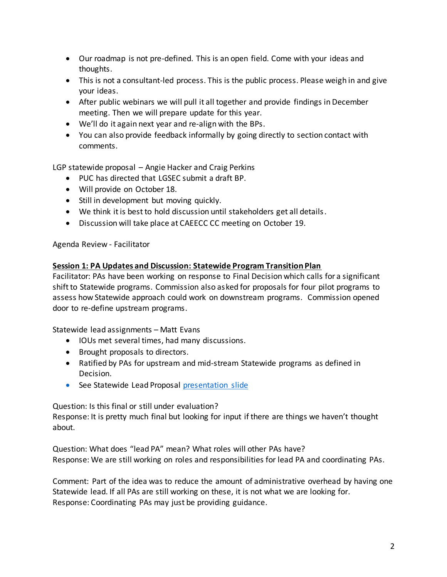- Our roadmap is not pre-defined. This is an open field. Come with your ideas and thoughts.
- This is not a consultant-led process. This is the public process. Please weigh in and give your ideas.
- After public webinars we will pull it all together and provide findings in December meeting. Then we will prepare update for this year.
- We'll do it again next year and re-align with the BPs.
- You can also provide feedback informally by going directly to section contact with comments.

LGP statewide proposal – Angie Hacker and Craig Perkins

- PUC has directed that LGSEC submit a draft BP.
- Will provide on October 18.
- Still in development but moving quickly.
- We think it is best to hold discussion until stakeholders get all details.
- Discussion will take place at CAEECC CC meeting on October 19.

## Agenda Review - Facilitator

#### **Session 1: PA Updates and Discussion: Statewide Program Transition Plan**

Facilitator: PAs have been working on response to Final Decision which calls for a significant shift to Statewide programs. Commission also asked for proposals for four pilot programs to assess how Statewide approach could work on downstream programs. Commission opened door to re-define upstream programs.

Statewide lead assignments – Matt Evans

- IOUs met several times, had many discussions.
- Brought proposals to directors.
- Ratified by PAs for upstream and mid-stream Statewide programs as defined in Decision.
- See Statewide Lead Proposal [presentation slide](http://media.wix.com/ugd/0c9650_2afa3b6910674804b8b4698c6224f7ea.pdf)

Question: Is this final or still under evaluation?

Response: It is pretty much final but looking for input if there are things we haven't thought about.

Question: What does "lead PA" mean? What roles will other PAs have? Response: We are still working on roles and responsibilities for lead PA and coordinating PAs.

Comment: Part of the idea was to reduce the amount of administrative overhead by having one Statewide lead. If all PAs are still working on these, it is not what we are looking for. Response: Coordinating PAs may just be providing guidance.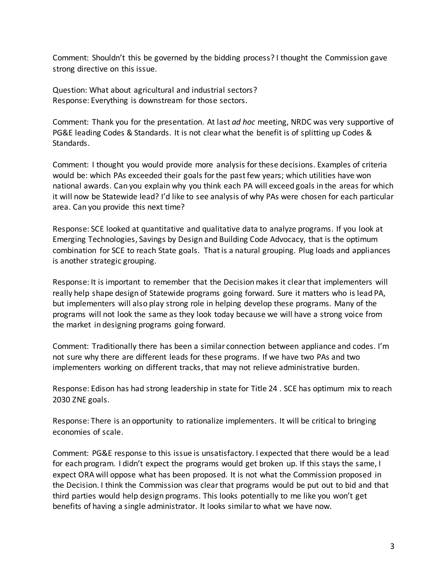Comment: Shouldn't this be governed by the bidding process? I thought the Commission gave strong directive on this issue.

Question: What about agricultural and industrial sectors? Response: Everything is downstream for those sectors.

Comment: Thank you for the presentation. At last *ad hoc* meeting, NRDC was very supportive of PG&E leading Codes & Standards. It is not clear what the benefit is of splitting up Codes & Standards.

Comment: I thought you would provide more analysis for these decisions. Examples of criteria would be: which PAs exceeded their goals for the past few years; which utilities have won national awards. Can you explain why you think each PA will exceed goals in the areas for which it will now be Statewide lead? I'd like to see analysis of why PAs were chosen for each particular area. Can you provide this next time?

Response: SCE looked at quantitative and qualitative data to analyze programs. If you look at Emerging Technologies, Savings by Design and Building Code Advocacy, that is the optimum combination for SCE to reach State goals. That is a natural grouping. Plug loads and appliances is another strategic grouping.

Response: It is important to remember that the Decision makes it clear that implementers will really help shape design of Statewide programs going forward. Sure it matters who is lead PA, but implementers will also play strong role in helping develop these programs. Many of the programs will not look the same as they look today because we will have a strong voice from the market in designing programs going forward.

Comment: Traditionally there has been a similar connection between appliance and codes. I'm not sure why there are different leads for these programs. If we have two PAs and two implementers working on different tracks, that may not relieve administrative burden.

Response: Edison has had strong leadership in state for Title 24 . SCE has optimum mix to reach 2030 ZNE goals.

Response: There is an opportunity to rationalize implementers. It will be critical to bringing economies of scale.

Comment: PG&E response to this issue is unsatisfactory. I expected that there would be a lead for each program. I didn't expect the programs would get broken up. If this stays the same, I expect ORA will oppose what has been proposed. It is not what the Commission proposed in the Decision. I think the Commission was clear that programs would be put out to bid and that third parties would help design programs. This looks potentially to me like you won't get benefits of having a single administrator. It looks similar to what we have now.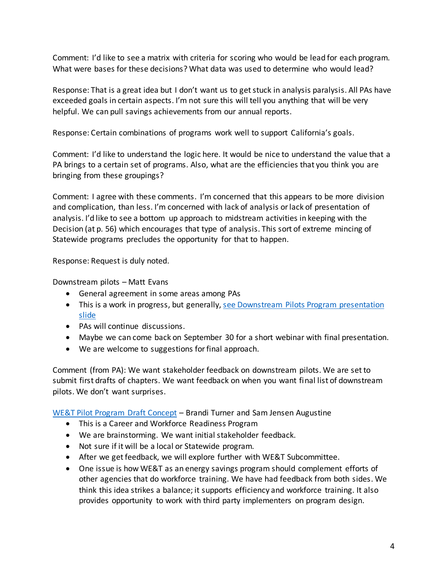Comment: I'd like to see a matrix with criteria for scoring who would be lead for each program. What were bases for these decisions? What data was used to determine who would lead?

Response: That is a great idea but I don't want us to get stuck in analysis paralysis. All PAs have exceeded goals in certain aspects. I'm not sure this will tell you anything that will be very helpful. We can pull savings achievements from our annual reports.

Response: Certain combinations of programs work well to support California's goals.

Comment: I'd like to understand the logic here. It would be nice to understand the value that a PA brings to a certain set of programs. Also, what are the efficiencies that you think you are bringing from these groupings?

Comment: I agree with these comments. I'm concerned that this appears to be more division and complication, than less. I'm concerned with lack of analysis orlack of presentation of analysis. I'd like to see a bottom up approach to midstream activities in keeping with the Decision (at p. 56) which encourages that type of analysis. This sort of extreme mincing of Statewide programs precludes the opportunity for that to happen.

Response: Request is duly noted.

Downstream pilots – Matt Evans

- General agreement in some areas among PAs
- This is a work in progress, but generally[, see Downstream Pilots Program presentation](http://media.wix.com/ugd/0c9650_2afa3b6910674804b8b4698c6224f7ea.pdf)  [slide](http://media.wix.com/ugd/0c9650_2afa3b6910674804b8b4698c6224f7ea.pdf)
- PAs will continue discussions.
- Maybe we can come back on September 30 for a short webinar with final presentation.
- We are welcome to suggestions for final approach.

Comment (from PA): We want stakeholder feedback on downstream pilots. We are set to submit first drafts of chapters. We want feedback on when you want final list of downstream pilots. We don't want surprises.

[WE&T Pilot Program Draft Concept](http://media.wix.com/ugd/0c9650_4bbe22d7db13453b86d6d050487989b6.pdf) – Brandi Turner and Sam Jensen Augustine

- This is a Career and Workforce Readiness Program
- We are brainstorming. We want initial stakeholder feedback.
- Not sure if it will be a local or Statewide program.
- After we get feedback, we will explore further with WE&T Subcommittee.
- One issue is how WE&T as an energy savings program should complement efforts of other agencies that do workforce training. We have had feedback from both sides. We think this idea strikes a balance; it supports efficiency and workforce training. It also provides opportunity to work with third party implementers on program design.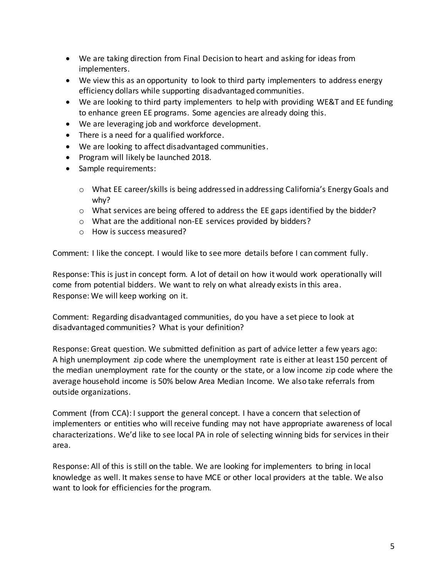- We are taking direction from Final Decision to heart and asking for ideas from implementers.
- We view this as an opportunity to look to third party implementers to address energy efficiency dollars while supporting disadvantaged communities.
- We are looking to third party implementers to help with providing WE&T and EE funding to enhance green EE programs. Some agencies are already doing this.
- We are leveraging job and workforce development.
- There is a need for a qualified workforce.
- We are looking to affect disadvantaged communities.
- Program will likely be launched 2018.
- Sample requirements:
	- $\circ$  What EE career/skills is being addressed in addressing California's Energy Goals and why?
	- $\circ$  What services are being offered to address the EE gaps identified by the bidder?
	- o What are the additional non-EE services provided by bidders?
	- o How is success measured?

Comment: I like the concept. I would like to see more details before I can comment fully.

Response: This is just in concept form. A lot of detail on how it would work operationally will come from potential bidders. We want to rely on what already exists in this area. Response: We will keep working on it.

Comment: Regarding disadvantaged communities, do you have a set piece to look at disadvantaged communities? What is your definition?

Response: Great question. We submitted definition as part of advice letter a few years ago: A high unemployment zip code where the unemployment rate is either at least 150 percent of the median unemployment rate for the county or the state, or a low income zip code where the average household income is 50% below Area Median Income. We also take referrals from outside organizations.

Comment (from CCA): I support the general concept. I have a concern that selection of implementers or entities who will receive funding may not have appropriate awareness of local characterizations. We'd like to see local PA in role of selecting winning bids for services in their area.

Response: All of this is still on the table. We are looking for implementers to bring in local knowledge as well. It makes sense to have MCE or other local providers at the table. We also want to look for efficiencies for the program.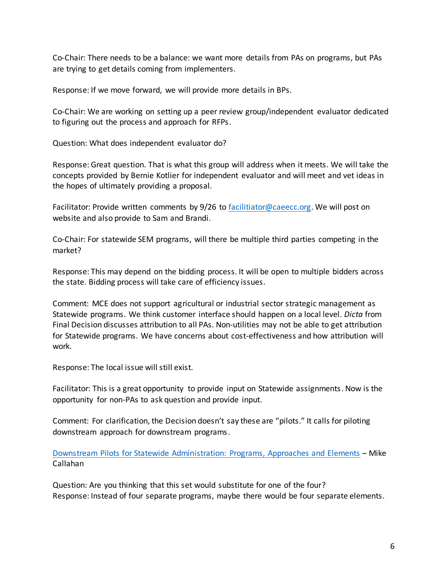Co-Chair: There needs to be a balance: we want more details from PAs on programs, but PAs are trying to get details coming from implementers.

Response: If we move forward, we will provide more details in BPs.

Co-Chair: We are working on setting up a peer review group/independent evaluator dedicated to figuring out the process and approach for RFPs.

Question: What does independent evaluator do?

Response: Great question. That is what this group will address when it meets. We will take the concepts provided by Bernie Kotlier for independent evaluator and will meet and vet ideas in the hopes of ultimately providing a proposal.

Facilitator: Provide written comments by 9/26 t[o facilitiator@caeecc.org.](mailto:facilitiator@caeecc.org) We will post on website and also provide to Sam and Brandi.

Co-Chair: For statewide SEM programs, will there be multiple third parties competing in the market?

Response: This may depend on the bidding process. It will be open to multiple bidders across the state. Bidding process will take care of efficiency issues.

Comment: MCE does not support agricultural or industrial sector strategic management as Statewide programs. We think customer interface should happen on a local level. *Dicta* from Final Decision discusses attribution to all PAs. Non-utilities may not be able to get attribution for Statewide programs. We have concerns about cost-effectiveness and how attribution will work.

Response: The local issue will still exist.

Facilitator: This is a great opportunity to provide input on Statewide assignments. Now is the opportunity for non-PAs to ask question and provide input.

Comment: For clarification, the Decision doesn't say these are "pilots." It calls for piloting downstream approach for downstream programs.

[Downstream Pilots for Statewide Administration: Programs, Approaches and Elements](http://media.wix.com/ugd/0c9650_2afa3b6910674804b8b4698c6224f7ea.pdf) – Mike Callahan

Question: Are you thinking that this set would substitute for one of the four? Response: Instead of four separate programs, maybe there would be four separate elements.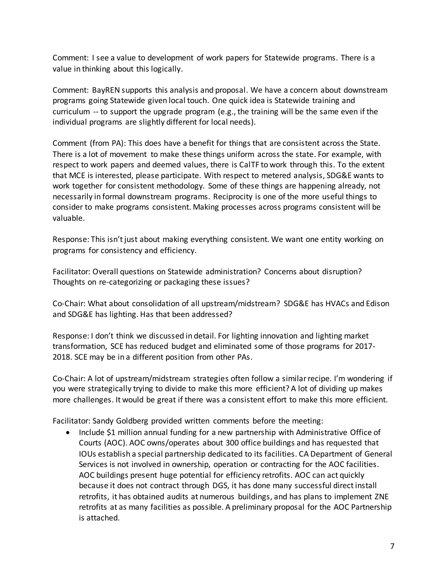Comment: I see a value to development of work papers for Statewide programs. There is a value in thinking about this logically.

Comment: BayREN supports this analysis and proposal. We have a concern about downstream programs going Statewide given local touch. One quick idea is Statewide training and curriculum -- to support the upgrade program (e.g., the training will be the same even if the individual programs are slightly different for local needs).

Comment (from PA): This does have a benefit for things that are consistent across the State. There is a lot of movement to make these things uniform across the state. For example, with respect to work papers and deemed values, there is CalTF to work through this. To the extent that MCE is interested, please participate. With respect to metered analysis, SDG&E wants to work together for consistent methodology. Some of these things are happening already, not necessarily in formal downstream programs. Reciprocity is one of the more useful things to consider to make programs consistent. Making processes across programs consistent will be valuable.

Response: This isn't just about making everything consistent. We want one entity working on programs for consistency and efficiency.

Facilitator: Overall questions on Statewide administration? Concerns about disruption? Thoughts on re-categorizing or packaging these issues?

Co-Chair: What about consolidation of all upstream/midstream? SDG&E has HVACs and Edison and SDG&E has lighting. Has that been addressed?

Response: I don't think we discussed in detail. For lighting innovation and lighting market transformation, SCE has reduced budget and eliminated some of those programs for 2017- 2018. SCE may be in a different position from other PAs.

Co-Chair: A lot of upstream/midstream strategies often follow a similar recipe. I'm wondering if you were strategically trying to divide to make this more efficient? A lot of dividing up makes more challenges. It would be great if there was a consistent effort to make this more efficient.

Facilitator: Sandy Goldberg provided written comments before the meeting:

 Include \$1 million annual funding for a new partnership with Administrative Office of Courts (AOC). AOC owns/operates about 300 office buildings and has requested that IOUs establish a special partnership dedicated to its facilities. CA Department of General Services is not involved in ownership, operation or contracting for the AOC facilities. AOC buildings present huge potential for efficiency retrofits. AOC can act quickly because it does not contract through DGS, it has done many successful direct install retrofits, it has obtained audits at numerous buildings, and has plans to implement ZNE retrofits at as many facilities as possible. A preliminary proposal for the AOC Partnership is attached.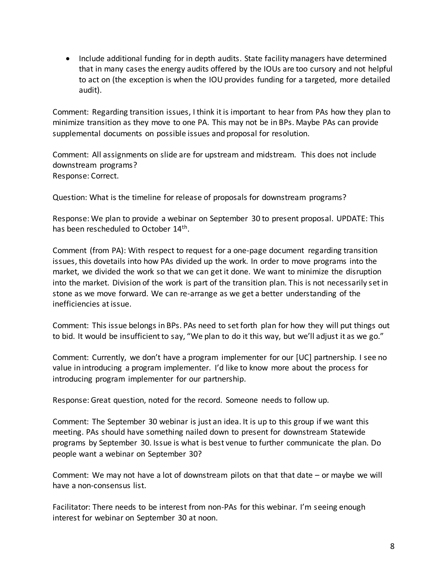• Include additional funding for in depth audits. State facility managers have determined that in many cases the energy audits offered by the IOUs are too cursory and not helpful to act on (the exception is when the IOU provides funding for a targeted, more detailed audit).

Comment: Regarding transition issues, I think it is important to hear from PAs how they plan to minimize transition as they move to one PA. This may not be in BPs. Maybe PAs can provide supplemental documents on possible issues and proposal for resolution.

Comment: All assignments on slide are for upstream and midstream. This does not include downstream programs? Response: Correct.

Question: What is the timeline for release of proposals for downstream programs?

Response: We plan to provide a webinar on September 30 to present proposal. UPDATE: This has been rescheduled to October 14<sup>th</sup>.

Comment (from PA): With respect to request for a one-page document regarding transition issues, this dovetails into how PAs divided up the work. In order to move programs into the market, we divided the work so that we can get it done. We want to minimize the disruption into the market. Division of the work is part of the transition plan. This is not necessarily set in stone as we move forward. We can re-arrange as we get a better understanding of the inefficiencies at issue.

Comment: This issue belongs in BPs. PAs need to set forth plan for how they will put things out to bid. It would be insufficient to say, "We plan to do it this way, but we'll adjust it as we go."

Comment: Currently, we don't have a program implementer for our [UC] partnership. I see no value in introducing a program implementer. I'd like to know more about the process for introducing program implementer for our partnership.

Response: Great question, noted for the record. Someone needs to follow up.

Comment: The September 30 webinar is just an idea. It is up to this group if we want this meeting. PAs should have something nailed down to present for downstream Statewide programs by September 30. Issue is what is best venue to further communicate the plan. Do people want a webinar on September 30?

Comment: We may not have a lot of downstream pilots on that that date – or maybe we will have a non-consensus list.

Facilitator: There needs to be interest from non-PAs for this webinar. I'm seeing enough interest for webinar on September 30 at noon.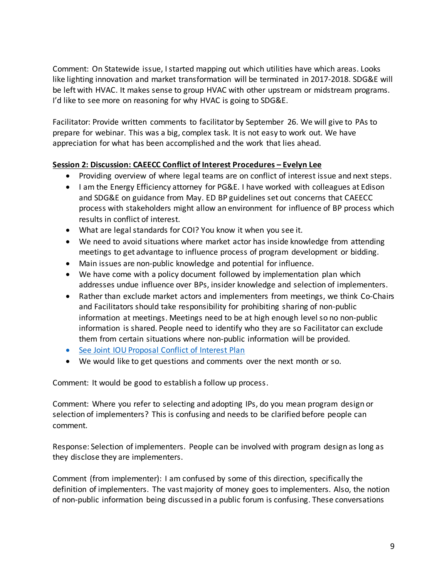Comment: On Statewide issue, I started mapping out which utilities have which areas. Looks like lighting innovation and market transformation will be terminated in 2017-2018. SDG&E will be left with HVAC. It makes sense to group HVAC with other upstream or midstream programs. I'd like to see more on reasoning for why HVAC is going to SDG&E.

Facilitator: Provide written comments to facilitator by September 26. We will give to PAs to prepare for webinar. This was a big, complex task. It is not easy to work out. We have appreciation for what has been accomplished and the work that lies ahead.

## **Session 2: Discussion: CAEECC Conflict of Interest Procedures – Evelyn Lee**

- Providing overview of where legal teams are on conflict of interest issue and next steps.
- I am the Energy Efficiency attorney for PG&E. I have worked with colleagues at Edison and SDG&E on guidance from May. ED BP guidelines set out concerns that CAEECC process with stakeholders might allow an environment for influence of BP process which results in conflict of interest.
- What are legal standards for COI? You know it when you see it.
- We need to avoid situations where market actor has inside knowledge from attending meetings to get advantage to influence process of program development or bidding.
- Main issues are non-public knowledge and potential for influence.
- We have come with a policy document followed by implementation plan which addresses undue influence over BPs, insider knowledge and selection of implementers.
- Rather than exclude market actors and implementers from meetings, we think Co-Chairs and Facilitators should take responsibility for prohibiting sharing of non-public information at meetings. Meetings need to be at high enough level so no non-public information is shared. People need to identify who they are so Facilitator can exclude them from certain situations where non-public information will be provided.
- [See Joint IOU Proposal Conflict of Interest Plan](http://media.wix.com/ugd/0c9650_c2e918cbb7784b588e74d82fbc51286e.pdf)
- We would like to get questions and comments over the next month or so.

Comment: It would be good to establish a follow up process.

Comment: Where you refer to selecting and adopting IPs, do you mean program design or selection of implementers? This is confusing and needs to be clarified before people can comment.

Response: Selection of implementers. People can be involved with program design as long as they disclose they are implementers.

Comment (from implementer): I am confused by some of this direction, specifically the definition of implementers. The vast majority of money goes to implementers. Also, the notion of non-public information being discussed in a public forum is confusing. These conversations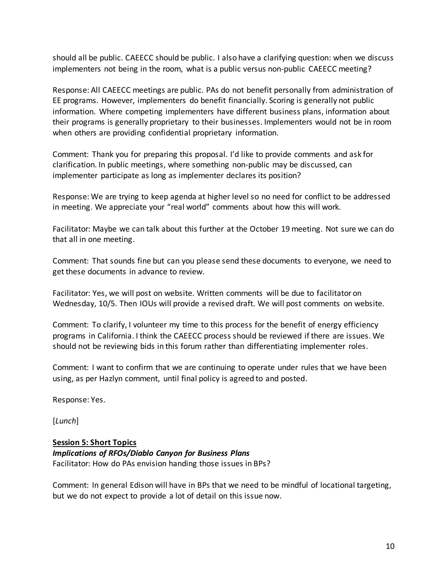should all be public. CAEECC should be public. I also have a clarifying question: when we discuss implementers not being in the room, what is a public versus non-public CAEECC meeting?

Response: All CAEECC meetings are public. PAs do not benefit personally from administration of EE programs. However, implementers do benefit financially. Scoring is generally not public information. Where competing implementers have different business plans, information about their programs is generally proprietary to their businesses. Implementers would not be in room when others are providing confidential proprietary information.

Comment: Thank you for preparing this proposal. I'd like to provide comments and ask for clarification. In public meetings, where something non-public may be discussed, can implementer participate as long as implementer declares its position?

Response: We are trying to keep agenda at higher level so no need for conflict to be addressed in meeting. We appreciate your "real world" comments about how this will work.

Facilitator: Maybe we can talk about this further at the October 19 meeting. Not sure we can do that all in one meeting.

Comment: That sounds fine but can you please send these documents to everyone, we need to get these documents in advance to review.

Facilitator: Yes, we will post on website. Written comments will be due to facilitator on Wednesday, 10/5. Then IOUs will provide a revised draft. We will post comments on website.

Comment: To clarify, I volunteer my time to this process for the benefit of energy efficiency programs in California. I think the CAEECC process should be reviewed if there are issues. We should not be reviewing bids in this forum rather than differentiating implementer roles.

Comment: I want to confirm that we are continuing to operate under rules that we have been using, as per Hazlyn comment, until final policy is agreed to and posted.

Response: Yes.

[*Lunch*]

# **Session 5: Short Topics**

*Implications of RFOs/Diablo Canyon for Business Plans* Facilitator: How do PAs envision handing those issues in BPs?

Comment: In general Edison will have in BPs that we need to be mindful of locational targeting, but we do not expect to provide a lot of detail on this issue now.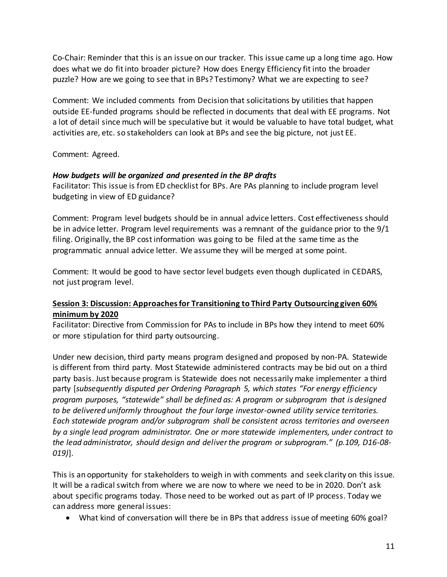Co-Chair: Reminder that this is an issue on our tracker. This issue came up a long time ago. How does what we do fit into broader picture? How does Energy Efficiency fit into the broader puzzle? How are we going to see that in BPs? Testimony? What we are expecting to see?

Comment: We included comments from Decision that solicitations by utilities that happen outside EE-funded programs should be reflected in documents that deal with EE programs. Not a lot of detail since much will be speculative but it would be valuable to have total budget, what activities are, etc. so stakeholders can look at BPs and see the big picture, not just EE.

Comment: Agreed.

## *How budgets will be organized and presented in the BP drafts*

Facilitator: This issue is from ED checklist for BPs. Are PAs planning to include program level budgeting in view of ED guidance?

Comment: Program level budgets should be in annual advice letters. Cost effectiveness should be in advice letter. Program level requirements was a remnant of the guidance prior to the 9/1 filing. Originally, the BP cost information was going to be filed at the same time as the programmatic annual advice letter. We assume they will be merged at some point.

Comment: It would be good to have sector level budgets even though duplicated in CEDARS, not just program level.

## **Session 3: Discussion: Approaches for Transitioning to Third Party Outsourcing given 60% minimum by 2020**

Facilitator: Directive from Commission for PAs to include in BPs how they intend to meet 60% or more stipulation for third party outsourcing.

Under new decision, third party means program designed and proposed by non-PA. Statewide is different from third party. Most Statewide administered contracts may be bid out on a third party basis. Just because program is Statewide does not necessarily make implementer a third party [*subsequently disputed per Ordering Paragraph 5, which states "For energy efficiency program purposes, "statewide" shall be defined as: A program or subprogram that is designed to be delivered uniformly throughout the four large investor-owned utility service territories. Each statewide program and/or subprogram shall be consistent across territories and overseen by a single lead program administrator. One or more statewide implementers, under contract to the lead administrator, should design and deliver the program or subprogram." (p.109, D16-08- 019)*].

This is an opportunity for stakeholders to weigh in with comments and seek clarity on this issue. It will be a radical switch from where we are now to where we need to be in 2020. Don't ask about specific programs today. Those need to be worked out as part of IP process. Today we can address more general issues:

What kind of conversation will there be in BPs that address issue of meeting 60% goal?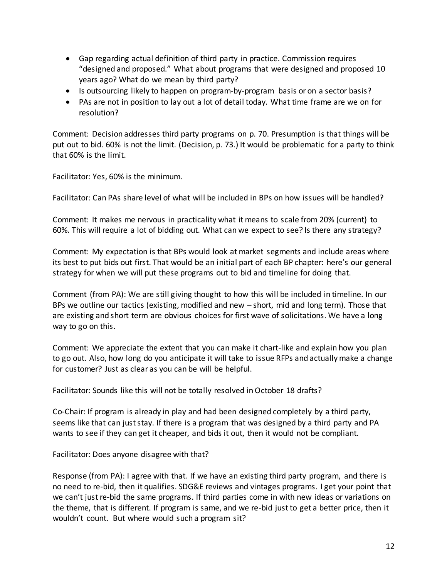- Gap regarding actual definition of third party in practice. Commission requires "designed and proposed." What about programs that were designed and proposed 10 years ago? What do we mean by third party?
- Is outsourcing likely to happen on program-by-program basis or on a sector basis?
- PAs are not in position to lay out a lot of detail today. What time frame are we on for resolution?

Comment: Decision addresses third party programs on p. 70. Presumption is that things will be put out to bid. 60% is not the limit. (Decision, p. 73.) It would be problematic for a party to think that 60% is the limit.

Facilitator: Yes, 60% is the minimum.

Facilitator: Can PAs share level of what will be included in BPs on how issues will be handled?

Comment: It makes me nervous in practicality what it means to scale from 20% (current) to 60%. This will require a lot of bidding out. What can we expect to see? Is there any strategy?

Comment: My expectation is that BPs would look at market segments and include areas where its best to put bids out first. That would be an initial part of each BP chapter: here's our general strategy for when we will put these programs out to bid and timeline for doing that.

Comment (from PA): We are still giving thought to how this will be included in timeline. In our BPs we outline our tactics (existing, modified and new – short, mid and long term). Those that are existing and short term are obvious choices for first wave of solicitations. We have a long way to go on this.

Comment: We appreciate the extent that you can make it chart-like and explain how you plan to go out. Also, how long do you anticipate it will take to issue RFPs and actually make a change for customer? Just as clear as you can be will be helpful.

Facilitator: Sounds like this will not be totally resolved in October 18 drafts?

Co-Chair: If program is already in play and had been designed completely by a third party, seems like that can just stay. If there is a program that was designed by a third party and PA wants to see if they can get it cheaper, and bids it out, then it would not be compliant.

Facilitator: Does anyone disagree with that?

Response (from PA): I agree with that. If we have an existing third party program, and there is no need to re-bid, then it qualifies. SDG&E reviews and vintages programs. I get your point that we can't just re-bid the same programs. If third parties come in with new ideas or variations on the theme, that is different. If program is same, and we re-bid just to get a better price, then it wouldn't count. But where would such a program sit?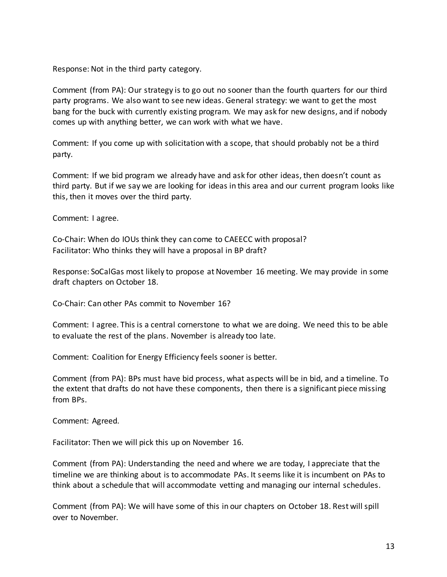Response: Not in the third party category.

Comment (from PA): Our strategy is to go out no sooner than the fourth quarters for our third party programs. We also want to see new ideas. General strategy: we want to get the most bang for the buck with currently existing program. We may ask for new designs, and if nobody comes up with anything better, we can work with what we have.

Comment: If you come up with solicitation with a scope, that should probably not be a third party.

Comment: If we bid program we already have and ask for other ideas, then doesn't count as third party. But if we say we are looking for ideas in this area and our current program looks like this, then it moves over the third party.

Comment: I agree.

Co-Chair: When do IOUs think they can come to CAEECC with proposal? Facilitator: Who thinks they will have a proposal in BP draft?

Response: SoCalGas most likely to propose at November 16 meeting. We may provide in some draft chapters on October 18.

Co-Chair: Can other PAs commit to November 16?

Comment: I agree. This is a central cornerstone to what we are doing. We need this to be able to evaluate the rest of the plans. November is already too late.

Comment: Coalition for Energy Efficiency feels sooner is better.

Comment (from PA): BPs must have bid process, what aspects will be in bid, and a timeline. To the extent that drafts do not have these components, then there is a significant piece missing from BPs.

Comment: Agreed.

Facilitator: Then we will pick this up on November 16.

Comment (from PA): Understanding the need and where we are today, I appreciate that the timeline we are thinking about is to accommodate PAs. It seems like it is incumbent on PAs to think about a schedule that will accommodate vetting and managing our internal schedules.

Comment (from PA): We will have some of this in our chapters on October 18. Rest will spill over to November.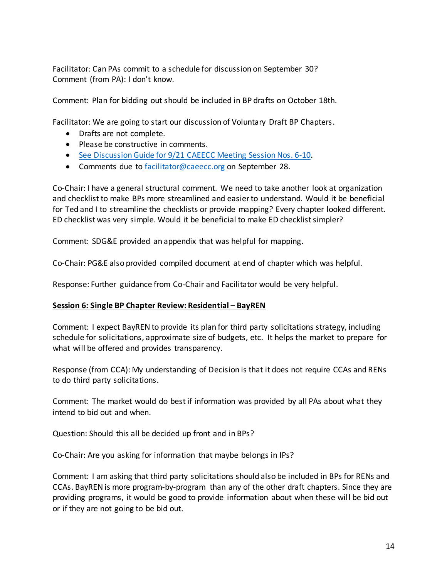Facilitator: Can PAs commit to a schedule for discussion on September 30? Comment (from PA): I don't know.

Comment: Plan for bidding out should be included in BP drafts on October 18th.

Facilitator: We are going to start our discussion of Voluntary Draft BP Chapters.

- Drafts are not complete.
- Please be constructive in comments.
- See Discussion Guide for 9/21 [CAEECC Meeting Session Nos. 6-10.](http://www.caeecc.org/9-21-discussion-guide)
- Comments due to [facilitator@caeecc.org](mailto:facilitator@caeecc.org) on September 28.

Co-Chair: I have a general structural comment. We need to take another look at organization and checklist to make BPs more streamlined and easier to understand. Would it be beneficial for Ted and I to streamline the checklists or provide mapping? Every chapter looked different. ED checklist was very simple. Would it be beneficial to make ED checklist simpler?

Comment: SDG&E provided an appendix that was helpful for mapping.

Co-Chair: PG&E also provided compiled document at end of chapter which was helpful.

Response: Further guidance from Co-Chair and Facilitator would be very helpful.

#### **Session 6: Single BP Chapter Review: Residential – BayREN**

Comment: I expect BayREN to provide its plan for third party solicitations strategy, including schedule for solicitations, approximate size of budgets, etc. It helps the market to prepare for what will be offered and provides transparency.

Response (from CCA): My understanding of Decision is that it does not require CCAs and RENs to do third party solicitations.

Comment: The market would do best if information was provided by all PAs about what they intend to bid out and when.

Question: Should this all be decided up front and in BPs?

Co-Chair: Are you asking for information that maybe belongs in IPs?

Comment: I am asking that third party solicitations should also be included in BPs for RENs and CCAs. BayREN is more program-by-program than any of the other draft chapters. Since they are providing programs, it would be good to provide information about when these will be bid out or if they are not going to be bid out.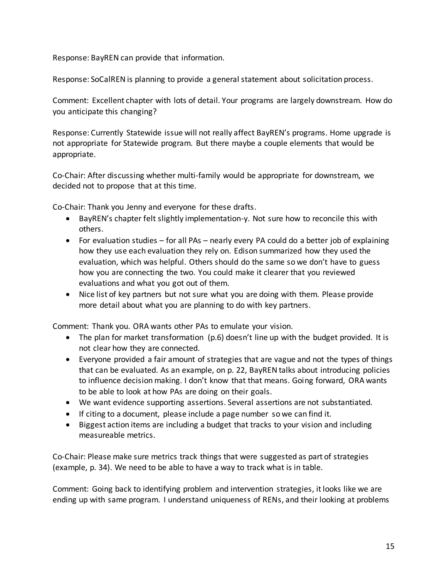Response: BayREN can provide that information.

Response: SoCalREN is planning to provide a general statement about solicitation process.

Comment: Excellent chapter with lots of detail. Your programs are largely downstream. How do you anticipate this changing?

Response: Currently Statewide issue will not really affect BayREN's programs. Home upgrade is not appropriate for Statewide program. But there maybe a couple elements that would be appropriate.

Co-Chair: After discussing whether multi-family would be appropriate for downstream, we decided not to propose that at this time.

Co-Chair: Thank you Jenny and everyone for these drafts.

- BayREN's chapter felt slightly implementation-y. Not sure how to reconcile this with others.
- For evaluation studies for all PAs nearly every PA could do a better job of explaining how they use each evaluation they rely on. Edison summarized how they used the evaluation, which was helpful. Others should do the same so we don't have to guess how you are connecting the two. You could make it clearer that you reviewed evaluations and what you got out of them.
- Nice list of key partners but not sure what you are doing with them. Please provide more detail about what you are planning to do with key partners.

Comment: Thank you. ORA wants other PAs to emulate your vision.

- The plan for market transformation (p.6) doesn't line up with the budget provided. It is not clear how they are connected.
- Everyone provided a fair amount of strategies that are vague and not the types of things that can be evaluated. As an example, on p. 22, BayREN talks about introducing policies to influence decision making. I don't know that that means. Going forward, ORA wants to be able to look at how PAs are doing on their goals.
- We want evidence supporting assertions. Several assertions are not substantiated.
- If citing to a document, please include a page number so we can find it.
- Biggest action items are including a budget that tracks to your vision and including measureable metrics.

Co-Chair: Please make sure metrics track things that were suggested as part of strategies (example, p. 34). We need to be able to have a way to track what is in table.

Comment: Going back to identifying problem and intervention strategies, it looks like we are ending up with same program. I understand uniqueness of RENs, and their looking at problems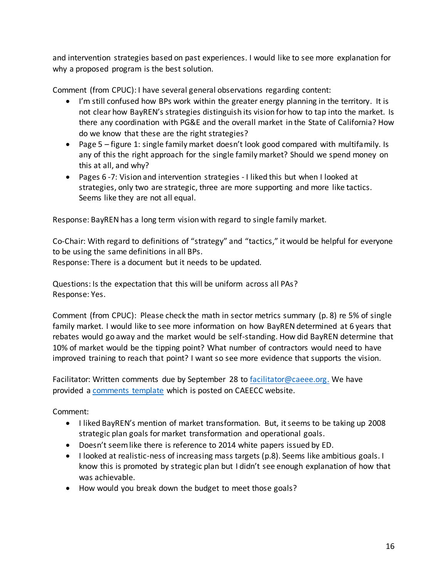and intervention strategies based on past experiences. I would like to see more explanation for why a proposed program is the best solution.

Comment (from CPUC): I have several general observations regarding content:

- I'm still confused how BPs work within the greater energy planning in the territory. It is not clear how BayREN's strategies distinguish its vision for how to tap into the market. Is there any coordination with PG&E and the overall market in the State of California? How do we know that these are the right strategies?
- Page 5 figure 1: single family market doesn't look good compared with multifamily. Is any of this the right approach for the single family market? Should we spend money on this at all, and why?
- Pages 6 -7: Vision and intervention strategies I liked this but when I looked at strategies, only two are strategic, three are more supporting and more like tactics. Seems like they are not all equal.

Response: BayREN has a long term vision with regard to single family market.

Co-Chair: With regard to definitions of "strategy" and "tactics," it would be helpful for everyone to be using the same definitions in all BPs.

Response: There is a document but it needs to be updated.

Questions: Is the expectation that this will be uniform across all PAs? Response: Yes.

Comment (from CPUC): Please check the math in sector metrics summary (p. 8) re 5% of single family market. I would like to see more information on how BayREN determined at 6 years that rebates would go away and the market would be self-standing. How did BayREN determine that 10% of market would be the tipping point? What number of contractors would need to have improved training to reach that point? I want so see more evidence that supports the vision.

Facilitator: Written comments due by September 28 to [facilitator@caeee.org.](mailto:facilitator@caeee.org) We have provided [a comments](http://www.caeecc.org/draft-chapters) template which is posted on CAEECC website.

Comment:

- I liked BayREN's mention of market transformation. But, it seems to be taking up 2008 strategic plan goals for market transformation and operational goals.
- Doesn't seem like there is reference to 2014 white papers issued by ED.
- I looked at realistic-ness of increasing mass targets (p.8). Seems like ambitious goals. I know this is promoted by strategic plan but I didn't see enough explanation of how that was achievable.
- How would you break down the budget to meet those goals?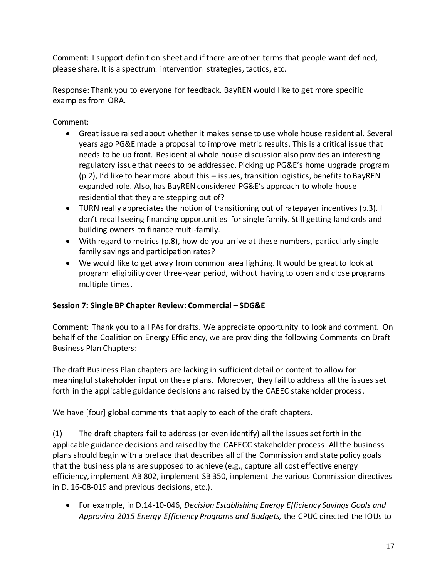Comment: I support definition sheet and if there are other terms that people want defined, please share. It is a spectrum: intervention strategies, tactics, etc.

Response: Thank you to everyone for feedback. BayREN would like to get more specific examples from ORA.

Comment:

- Great issue raised about whether it makes sense to use whole house residential. Several years ago PG&E made a proposal to improve metric results. This is a critical issue that needs to be up front. Residential whole house discussion also provides an interesting regulatory issue that needs to be addressed. Picking up PG&E's home upgrade program (p.2), I'd like to hear more about this – issues, transition logistics, benefits to BayREN expanded role. Also, has BayREN considered PG&E's approach to whole house residential that they are stepping out of?
- TURN really appreciates the notion of transitioning out of ratepayer incentives (p.3). I don't recall seeing financing opportunities for single family. Still getting landlords and building owners to finance multi-family.
- With regard to metrics (p.8), how do you arrive at these numbers, particularly single family savings and participation rates?
- We would like to get away from common area lighting. It would be great to look at program eligibility over three-year period, without having to open and close programs multiple times.

# **Session 7: Single BP Chapter Review: Commercial – SDG&E**

Comment: Thank you to all PAs for drafts. We appreciate opportunity to look and comment. On behalf of the Coalition on Energy Efficiency, we are providing the following Comments on Draft Business Plan Chapters:

The draft Business Plan chapters are lacking in sufficient detail or content to allow for meaningful stakeholder input on these plans. Moreover, they fail to address all the issues set forth in the applicable guidance decisions and raised by the CAEEC stakeholder process.

We have [four] global comments that apply to each of the draft chapters.

(1) The draft chapters fail to address (or even identify) all the issues set forth in the applicable guidance decisions and raised by the CAEECC stakeholder process. All the business plans should begin with a preface that describes all of the Commission and state policy goals that the business plans are supposed to achieve (e.g., capture all cost effective energy efficiency, implement AB 802, implement SB 350, implement the various Commission directives in D. 16-08-019 and previous decisions, etc.).

 For example, in D.14-10-046, *Decision Establishing Energy Efficiency Savings Goals and Approving 2015 Energy Efficiency Programs and Budgets,* the CPUC directed the IOUs to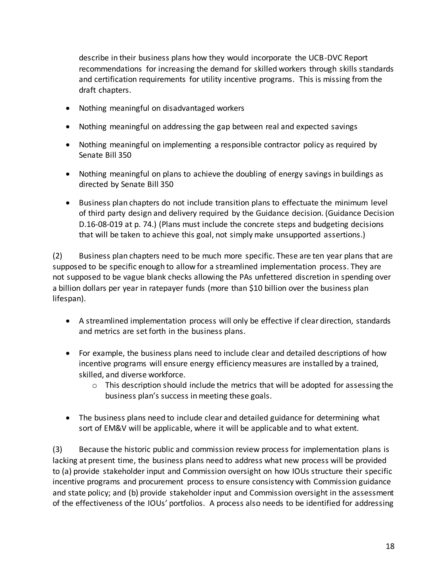describe in their business plans how they would incorporate the UCB-DVC Report recommendations for increasing the demand for skilled workers through skills standards and certification requirements for utility incentive programs. This is missing from the draft chapters.

- Nothing meaningful on disadvantaged workers
- Nothing meaningful on addressing the gap between real and expected savings
- Nothing meaningful on implementing a responsible contractor policy as required by Senate Bill 350
- Nothing meaningful on plans to achieve the doubling of energy savings in buildings as directed by Senate Bill 350
- Business plan chapters do not include transition plans to effectuate the minimum level of third party design and delivery required by the Guidance decision. (Guidance Decision D.16-08-019 at p. 74.) (Plans must include the concrete steps and budgeting decisions that will be taken to achieve this goal, not simply make unsupported assertions.)

(2) Business plan chapters need to be much more specific. These are ten year plans that are supposed to be specific enough to allow for a streamlined implementation process. They are not supposed to be vague blank checks allowing the PAs unfettered discretion in spending over a billion dollars per year in ratepayer funds (more than \$10 billion over the business plan lifespan).

- A streamlined implementation process will only be effective if clear direction, standards and metrics are set forth in the business plans.
- For example, the business plans need to include clear and detailed descriptions of how incentive programs will ensure energy efficiency measures are installed by a trained, skilled, and diverse workforce.
	- $\circ$  This description should include the metrics that will be adopted for assessing the business plan's success in meeting these goals.
- The business plans need to include clear and detailed guidance for determining what sort of EM&V will be applicable, where it will be applicable and to what extent.

(3) Because the historic public and commission review process for implementation plans is lacking at present time, the business plans need to address what new process will be provided to (a) provide stakeholder input and Commission oversight on how IOUs structure their specific incentive programs and procurement process to ensure consistency with Commission guidance and state policy; and (b) provide stakeholder input and Commission oversight in the assessment of the effectiveness of the IOUs' portfolios. A process also needs to be identified for addressing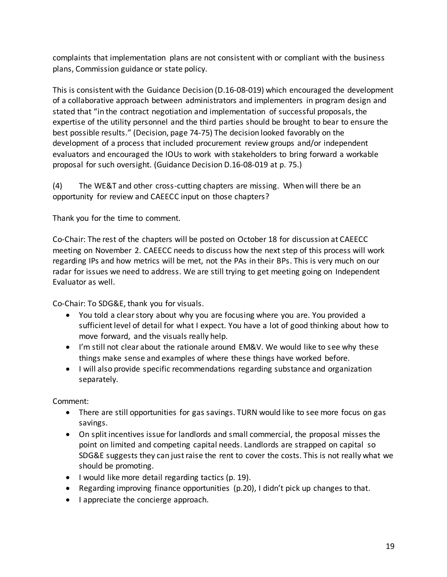complaints that implementation plans are not consistent with or compliant with the business plans, Commission guidance or state policy.

This is consistent with the Guidance Decision (D.16-08-019) which encouraged the development of a collaborative approach between administrators and implementers in program design and stated that "in the contract negotiation and implementation of successful proposals, the expertise of the utility personnel and the third parties should be brought to bear to ensure the best possible results." (Decision, page 74-75) The decision looked favorably on the development of a process that included procurement review groups and/or independent evaluators and encouraged the IOUs to work with stakeholders to bring forward a workable proposal for such oversight. (Guidance Decision D.16-08-019 at p. 75.)

(4) The WE&T and other cross-cutting chapters are missing. When will there be an opportunity for review and CAEECC input on those chapters?

Thank you for the time to comment.

Co-Chair: The rest of the chapters will be posted on October 18 for discussion at CAEECC meeting on November 2. CAEECC needs to discuss how the next step of this process will work regarding IPs and how metrics will be met, not the PAs in their BPs. This is very much on our radar for issues we need to address. We are still trying to get meeting going on Independent Evaluator as well.

Co-Chair: To SDG&E, thank you for visuals.

- You told a clear story about why you are focusing where you are. You provided a sufficient level of detail for what I expect. You have a lot of good thinking about how to move forward, and the visuals really help.
- I'm still not clear about the rationale around EM&V. We would like to see why these things make sense and examples of where these things have worked before.
- I will also provide specific recommendations regarding substance and organization separately.

Comment:

- There are still opportunities for gas savings. TURN would like to see more focus on gas savings.
- On split incentives issue for landlords and small commercial, the proposal misses the point on limited and competing capital needs. Landlords are strapped on capital so SDG&E suggests they can just raise the rent to cover the costs. This is not really what we should be promoting.
- I would like more detail regarding tactics (p. 19).
- Regarding improving finance opportunities (p.20), I didn't pick up changes to that.
- I appreciate the concierge approach.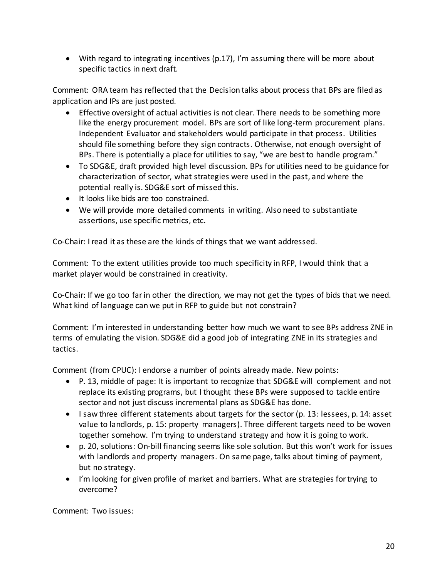With regard to integrating incentives (p.17), I'm assuming there will be more about specific tactics in next draft.

Comment: ORA team has reflected that the Decision talks about process that BPs are filed as application and IPs are just posted.

- Effective oversight of actual activities is not clear. There needs to be something more like the energy procurement model. BPs are sort of like long-term procurement plans. Independent Evaluator and stakeholders would participate in that process. Utilities should file something before they sign contracts. Otherwise, not enough oversight of BPs. There is potentially a place for utilities to say, "we are best to handle program."
- To SDG&E, draft provided high level discussion. BPs for utilities need to be guidance for characterization of sector, what strategies were used in the past, and where the potential really is. SDG&E sort of missed this.
- It looks like bids are too constrained.
- We will provide more detailed comments in writing. Also need to substantiate assertions, use specific metrics, etc.

Co-Chair: I read it as these are the kinds of things that we want addressed.

Comment: To the extent utilities provide too much specificity in RFP, I would think that a market player would be constrained in creativity.

Co-Chair: If we go too far in other the direction, we may not get the types of bids that we need. What kind of language can we put in RFP to guide but not constrain?

Comment: I'm interested in understanding better how much we want to see BPs address ZNE in terms of emulating the vision. SDG&E did a good job of integrating ZNE in its strategies and tactics.

Comment (from CPUC): I endorse a number of points already made. New points:

- P. 13, middle of page: It is important to recognize that SDG&E will complement and not replace its existing programs, but I thought these BPs were supposed to tackle entire sector and not just discuss incremental plans as SDG&E has done.
- $\bullet$  I saw three different statements about targets for the sector (p. 13: lessees, p. 14: asset value to landlords, p. 15: property managers). Three different targets need to be woven together somehow. I'm trying to understand strategy and how it is going to work.
- p. 20, solutions: On-bill financing seems like sole solution. But this won't work for issues with landlords and property managers. On same page, talks about timing of payment, but no strategy.
- I'm looking for given profile of market and barriers. What are strategies for trying to overcome?

Comment: Two issues: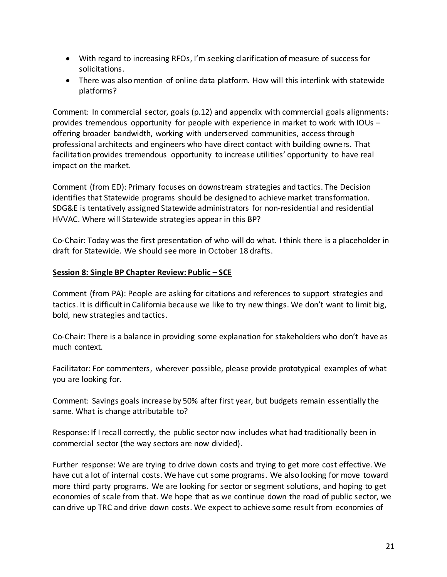- With regard to increasing RFOs, I'm seeking clarification of measure of success for solicitations.
- There was also mention of online data platform. How will this interlink with statewide platforms?

Comment: In commercial sector, goals (p.12) and appendix with commercial goals alignments: provides tremendous opportunity for people with experience in market to work with IOUs – offering broader bandwidth, working with underserved communities, access through professional architects and engineers who have direct contact with building owners. That facilitation provides tremendous opportunity to increase utilities' opportunity to have real impact on the market.

Comment (from ED): Primary focuses on downstream strategies and tactics. The Decision identifies that Statewide programs should be designed to achieve market transformation. SDG&E is tentatively assigned Statewide administrators for non-residential and residential HVVAC. Where will Statewide strategies appear in this BP?

Co-Chair: Today was the first presentation of who will do what. I think there is a placeholder in draft for Statewide. We should see more in October 18 drafts.

## **Session 8: Single BP Chapter Review: Public – SCE**

Comment (from PA): People are asking for citations and references to support strategies and tactics. It is difficult in California because we like to try new things. We don't want to limit big, bold, new strategies and tactics.

Co-Chair: There is a balance in providing some explanation for stakeholders who don't have as much context.

Facilitator: For commenters, wherever possible, please provide prototypical examples of what you are looking for.

Comment: Savings goals increase by 50% after first year, but budgets remain essentially the same. What is change attributable to?

Response: If I recall correctly, the public sector now includes what had traditionally been in commercial sector (the way sectors are now divided).

Further response: We are trying to drive down costs and trying to get more cost effective. We have cut a lot of internal costs. We have cut some programs. We also looking for move toward more third party programs. We are looking for sector or segment solutions, and hoping to get economies of scale from that. We hope that as we continue down the road of public sector, we can drive up TRC and drive down costs. We expect to achieve some result from economies of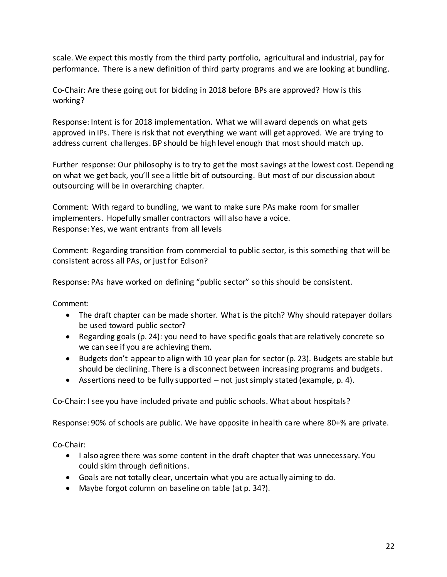scale. We expect this mostly from the third party portfolio, agricultural and industrial, pay for performance. There is a new definition of third party programs and we are looking at bundling.

Co-Chair: Are these going out for bidding in 2018 before BPs are approved? How is this working?

Response: Intent is for 2018 implementation. What we will award depends on what gets approved in IPs. There is risk that not everything we want will get approved. We are trying to address current challenges. BP should be high level enough that most should match up.

Further response: Our philosophy is to try to get the most savings at the lowest cost. Depending on what we get back, you'll see a little bit of outsourcing. But most of our discussion about outsourcing will be in overarching chapter.

Comment: With regard to bundling, we want to make sure PAs make room for smaller implementers. Hopefully smaller contractors will also have a voice. Response: Yes, we want entrants from all levels

Comment: Regarding transition from commercial to public sector, is this something that will be consistent across all PAs, or just for Edison?

Response: PAs have worked on defining "public sector" so this should be consistent.

Comment:

- The draft chapter can be made shorter. What is the pitch? Why should ratepayer dollars be used toward public sector?
- Regarding goals (p. 24): you need to have specific goals that are relatively concrete so we can see if you are achieving them.
- Budgets don't appear to align with 10 year plan for sector (p. 23). Budgets are stable but should be declining. There is a disconnect between increasing programs and budgets.
- Assertions need to be fully supported not just simply stated (example, p. 4).

Co-Chair: I see you have included private and public schools. What about hospitals?

Response: 90% of schools are public. We have opposite in health care where 80+% are private.

Co-Chair:

- I also agree there was some content in the draft chapter that was unnecessary. You could skim through definitions.
- Goals are not totally clear, uncertain what you are actually aiming to do.
- Maybe forgot column on baseline on table (at p. 34?).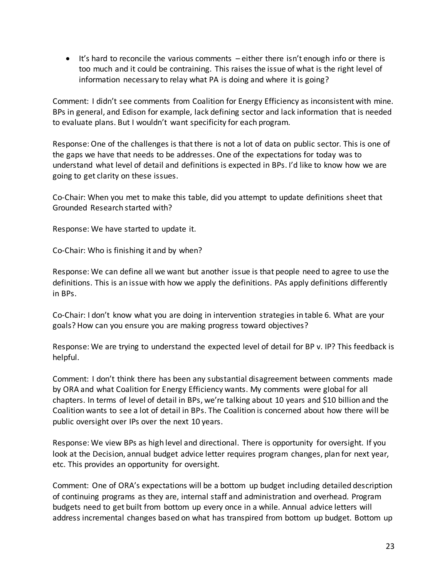$\bullet$  It's hard to reconcile the various comments – either there isn't enough info or there is too much and it could be contraining. This raises the issue of what is the right level of information necessary to relay what PA is doing and where it is going?

Comment: I didn't see comments from Coalition for Energy Efficiency as inconsistent with mine. BPs in general, and Edison for example, lack defining sector and lack information that is needed to evaluate plans. But I wouldn't want specificity for each program.

Response: One of the challenges is that there is not a lot of data on public sector. This is one of the gaps we have that needs to be addresses. One of the expectations for today was to understand what level of detail and definitions is expected in BPs. I'd like to know how we are going to get clarity on these issues.

Co-Chair: When you met to make this table, did you attempt to update definitions sheet that Grounded Research started with?

Response: We have started to update it.

Co-Chair: Who is finishing it and by when?

Response: We can define all we want but another issue is that people need to agree to use the definitions. This is an issue with how we apply the definitions. PAs apply definitions differently in BPs.

Co-Chair: I don't know what you are doing in intervention strategies in table 6. What are your goals? How can you ensure you are making progress toward objectives?

Response: We are trying to understand the expected level of detail for BP v. IP? This feedback is helpful.

Comment: I don't think there has been any substantial disagreement between comments made by ORA and what Coalition for Energy Efficiency wants. My comments were global for all chapters. In terms of level of detail in BPs, we're talking about 10 years and \$10 billion and the Coalition wants to see a lot of detail in BPs. The Coalition is concerned about how there will be public oversight over IPs over the next 10 years.

Response: We view BPs as high level and directional. There is opportunity for oversight. If you look at the Decision, annual budget advice letter requires program changes, plan for next year, etc. This provides an opportunity for oversight.

Comment: One of ORA's expectations will be a bottom up budget including detailed description of continuing programs as they are, internal staff and administration and overhead. Program budgets need to get built from bottom up every once in a while. Annual advice letters will address incremental changes based on what has transpired from bottom up budget. Bottom up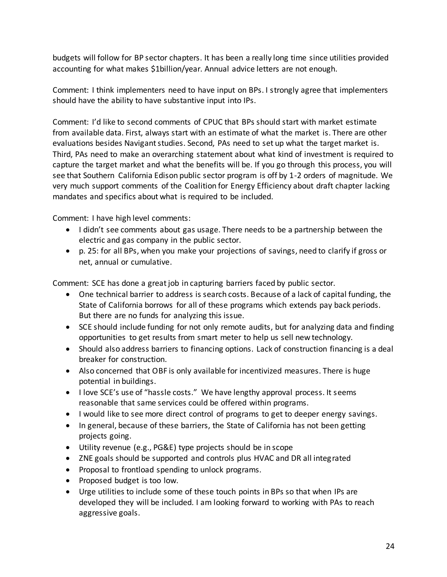budgets will follow for BP sector chapters. It has been a really long time since utilities provided accounting for what makes \$1billion/year. Annual advice letters are not enough.

Comment: I think implementers need to have input on BPs. I strongly agree that implementers should have the ability to have substantive input into IPs.

Comment: I'd like to second comments of CPUC that BPs should start with market estimate from available data. First, always start with an estimate of what the market is. There are other evaluations besides Navigant studies. Second, PAs need to set up what the target market is. Third, PAs need to make an overarching statement about what kind of investment is required to capture the target market and what the benefits will be. If you go through this process, you will see that Southern California Edison public sector program is off by 1-2 orders of magnitude. We very much support comments of the Coalition for Energy Efficiency about draft chapter lacking mandates and specifics about what is required to be included.

Comment: I have high level comments:

- I didn't see comments about gas usage. There needs to be a partnership between the electric and gas company in the public sector.
- p. 25: for all BPs, when you make your projections of savings, need to clarify if gross or net, annual or cumulative.

Comment: SCE has done a great job in capturing barriers faced by public sector.

- One technical barrier to address is search costs. Because of a lack of capital funding, the State of California borrows for all of these programs which extends pay back periods. But there are no funds for analyzing this issue.
- SCE should include funding for not only remote audits, but for analyzing data and finding opportunities to get results from smart meter to help us sell new technology.
- Should also address barriers to financing options. Lack of construction financing is a deal breaker for construction.
- Also concerned that OBF is only available for incentivized measures. There is huge potential in buildings.
- I love SCE's use of "hassle costs." We have lengthy approval process. It seems reasonable that same services could be offered within programs.
- I would like to see more direct control of programs to get to deeper energy savings.
- In general, because of these barriers, the State of California has not been getting projects going.
- Utility revenue (e.g., PG&E) type projects should be in scope
- ZNE goals should be supported and controls plus HVAC and DR all integrated
- Proposal to frontload spending to unlock programs.
- Proposed budget is too low.
- Urge utilities to include some of these touch points in BPs so that when IPs are developed they will be included. I am looking forward to working with PAs to reach aggressive goals.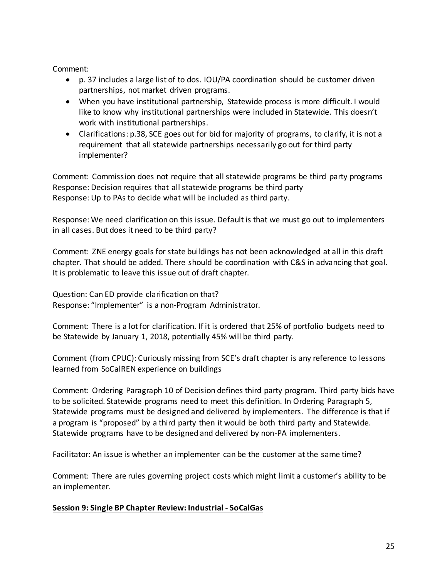Comment:

- p. 37 includes a large list of to dos. IOU/PA coordination should be customer driven partnerships, not market driven programs.
- When you have institutional partnership, Statewide process is more difficult. I would like to know why institutional partnerships were included in Statewide. This doesn't work with institutional partnerships.
- Clarifications: p.38, SCE goes out for bid for majority of programs, to clarify, it is not a requirement that all statewide partnerships necessarily go out for third party implementer?

Comment: Commission does not require that all statewide programs be third party programs Response: Decision requires that all statewide programs be third party Response: Up to PAs to decide what will be included as third party.

Response: We need clarification on this issue. Default is that we must go out to implementers in all cases. But does it need to be third party?

Comment: ZNE energy goals for state buildings has not been acknowledged at all in this draft chapter. That should be added. There should be coordination with C&S in advancing that goal. It is problematic to leave this issue out of draft chapter.

Question: Can ED provide clarification on that? Response: "Implementer" is a non-Program Administrator.

Comment: There is a lot for clarification. If it is ordered that 25% of portfolio budgets need to be Statewide by January 1, 2018, potentially 45% will be third party.

Comment (from CPUC): Curiously missing from SCE's draft chapter is any reference to lessons learned from SoCalREN experience on buildings

Comment: Ordering Paragraph 10 of Decision defines third party program. Third party bids have to be solicited. Statewide programs need to meet this definition. In Ordering Paragraph 5, Statewide programs must be designed and delivered by implementers. The difference is that if a program is "proposed" by a third party then it would be both third party and Statewide. Statewide programs have to be designed and delivered by non-PA implementers.

Facilitator: An issue is whether an implementer can be the customer at the same time?

Comment: There are rules governing project costs which might limit a customer's ability to be an implementer.

## **Session 9: Single BP Chapter Review: Industrial - SoCalGas**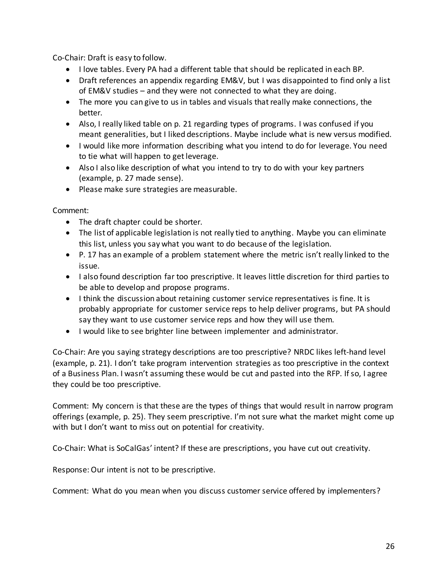Co-Chair: Draft is easy to follow.

- I love tables. Every PA had a different table that should be replicated in each BP.
- Draft references an appendix regarding EM&V, but I was disappointed to find only a list of EM&V studies – and they were not connected to what they are doing.
- The more you can give to us in tables and visuals that really make connections, the better.
- Also, I really liked table on p. 21 regarding types of programs. I was confused if you meant generalities, but I liked descriptions. Maybe include what is new versus modified.
- I would like more information describing what you intend to do for leverage. You need to tie what will happen to get leverage.
- Also I also like description of what you intend to try to do with your key partners (example, p. 27 made sense).
- Please make sure strategies are measurable.

Comment:

- The draft chapter could be shorter.
- The list of applicable legislation is not really tied to anything. Maybe you can eliminate this list, unless you say what you want to do because of the legislation.
- P. 17 has an example of a problem statement where the metric isn't really linked to the issue.
- I also found description far too prescriptive. It leaves little discretion for third parties to be able to develop and propose programs.
- I think the discussion about retaining customer service representatives is fine. It is probably appropriate for customer service reps to help deliver programs, but PA should say they want to use customer service reps and how they will use them.
- I would like to see brighter line between implementer and administrator.

Co-Chair: Are you saying strategy descriptions are too prescriptive? NRDC likes left-hand level (example, p. 21). I don't take program intervention strategies as too prescriptive in the context of a Business Plan. I wasn't assuming these would be cut and pasted into the RFP. If so, I agree they could be too prescriptive.

Comment: My concern is that these are the types of things that would result in narrow program offerings (example, p. 25). They seem prescriptive. I'm not sure what the market might come up with but I don't want to miss out on potential for creativity.

Co-Chair: What is SoCalGas' intent? If these are prescriptions, you have cut out creativity.

Response: Our intent is not to be prescriptive.

Comment: What do you mean when you discuss customer service offered by implementers?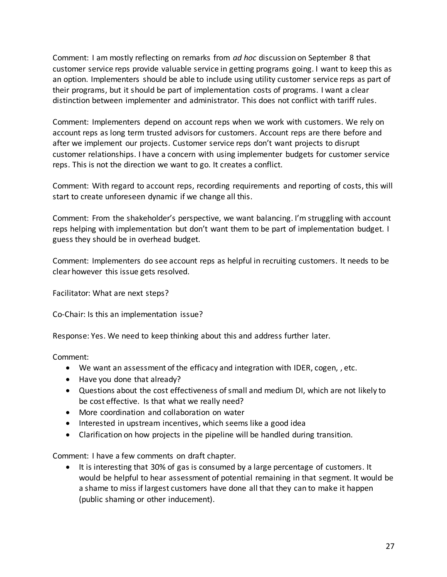Comment: I am mostly reflecting on remarks from *ad hoc* discussion on September 8 that customer service reps provide valuable service in getting programs going. I want to keep this as an option. Implementers should be able to include using utility customer service reps as part of their programs, but it should be part of implementation costs of programs. I want a clear distinction between implementer and administrator. This does not conflict with tariff rules.

Comment: Implementers depend on account reps when we work with customers. We rely on account reps as long term trusted advisors for customers. Account reps are there before and after we implement our projects. Customer service reps don't want projects to disrupt customer relationships. I have a concern with using implementer budgets for customer service reps. This is not the direction we want to go. It creates a conflict.

Comment: With regard to account reps, recording requirements and reporting of costs, this will start to create unforeseen dynamic if we change all this.

Comment: From the shakeholder's perspective, we want balancing. I'm struggling with account reps helping with implementation but don't want them to be part of implementation budget. I guess they should be in overhead budget.

Comment: Implementers do see account reps as helpful in recruiting customers. It needs to be clear however this issue gets resolved.

Facilitator: What are next steps?

Co-Chair: Is this an implementation issue?

Response: Yes. We need to keep thinking about this and address further later.

Comment:

- We want an assessment of the efficacy and integration with IDER, cogen, , etc.
- Have you done that already?
- Questions about the cost effectiveness of small and medium DI, which are not likely to be cost effective. Is that what we really need?
- More coordination and collaboration on water
- Interested in upstream incentives, which seems like a good idea
- Clarification on how projects in the pipeline will be handled during transition.

Comment: I have a few comments on draft chapter.

• It is interesting that 30% of gas is consumed by a large percentage of customers. It would be helpful to hear assessment of potential remaining in that segment. It would be a shame to miss if largest customers have done all that they can to make it happen (public shaming or other inducement).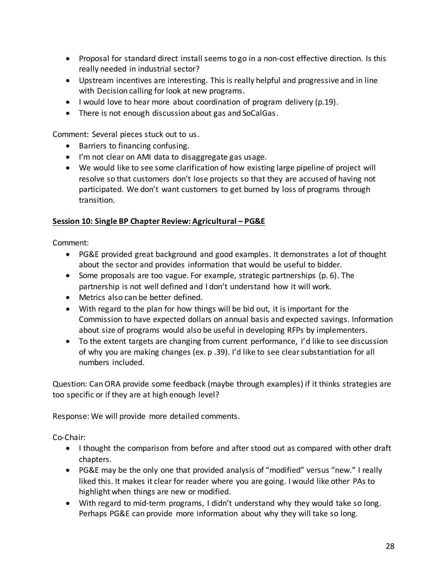- Proposal for standard direct install seems to go in a non-cost effective direction. Is this really needed in industrial sector?
- Upstream incentives are interesting. This is really helpful and progressive and in line with Decision calling for look at new programs.
- I would love to hear more about coordination of program delivery (p.19).
- There is not enough discussion about gas and SoCalGas.

Comment: Several pieces stuck out to us.

- Barriers to financing confusing.
- I'm not clear on AMI data to disaggregate gas usage.
- We would like to see some clarification of how existing large pipeline of project will resolve so that customers don't lose projects so that they are accused of having not participated. We don't want customers to get burned by loss of programs through transition.

#### **Session 10: Single BP Chapter Review: Agricultural – PG&E**

Comment:

- PG&E provided great background and good examples. It demonstrates a lot of thought about the sector and provides information that would be useful to bidder.
- Some proposals are too vague. For example, strategic partnerships  $(p. 6)$ . The partnership is not well defined and I don't understand how it will work.
- Metrics also can be better defined.
- With regard to the plan for how things will be bid out, it is important for the Commission to have expected dollars on annual basis and expected savings. Information about size of programs would also be useful in developing RFPs by implementers.
- To the extent targets are changing from current performance, I'd like to see discussion of why you are making changes (ex. p .39). I'd like to see clear substantiation for all numbers included.

Question: Can ORA provide some feedback (maybe through examples) if it thinks strategies are too specific or if they are at high enough level?

Response: We will provide more detailed comments.

Co-Chair:

- I thought the comparison from before and after stood out as compared with other draft chapters.
- PG&E may be the only one that provided analysis of "modified" versus "new." I really liked this. It makes it clear for reader where you are going. I would like other PAs to highlight when things are new or modified.
- With regard to mid-term programs, I didn't understand why they would take so long. Perhaps PG&E can provide more information about why they will take so long.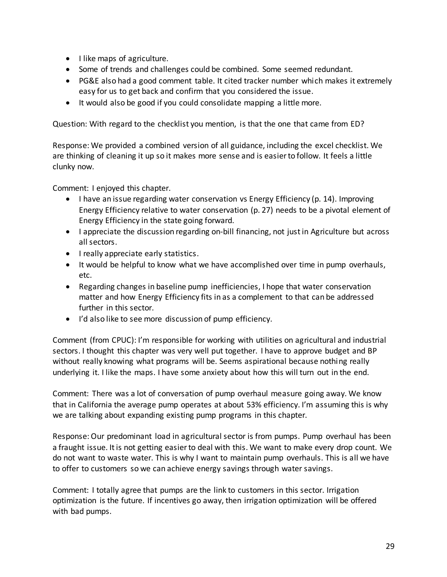- I like maps of agriculture.
- Some of trends and challenges could be combined. Some seemed redundant.
- PG&E also had a good comment table. It cited tracker number which makes it extremely easy for us to get back and confirm that you considered the issue.
- It would also be good if you could consolidate mapping a little more.

Question: With regard to the checklist you mention, is that the one that came from ED?

Response: We provided a combined version of all guidance, including the excel checklist. We are thinking of cleaning it up so it makes more sense and is easier to follow. It feels a little clunky now.

Comment: I enjoyed this chapter.

- $\bullet$  I have an issue regarding water conservation vs Energy Efficiency (p. 14). Improving Energy Efficiency relative to water conservation (p. 27) needs to be a pivotal element of Energy Efficiency in the state going forward.
- I appreciate the discussion regarding on-bill financing, not just in Agriculture but across all sectors.
- **I** really appreciate early statistics.
- It would be helpful to know what we have accomplished over time in pump overhauls, etc.
- Regarding changes in baseline pump inefficiencies, I hope that water conservation matter and how Energy Efficiency fits in as a complement to that can be addressed further in this sector.
- I'd also like to see more discussion of pump efficiency.

Comment (from CPUC): I'm responsible for working with utilities on agricultural and industrial sectors. I thought this chapter was very well put together. I have to approve budget and BP without really knowing what programs will be. Seems aspirational because nothing really underlying it. I like the maps. I have some anxiety about how this will turn out in the end.

Comment: There was a lot of conversation of pump overhaul measure going away. We know that in California the average pump operates at about 53% efficiency. I'm assuming this is why we are talking about expanding existing pump programs in this chapter.

Response: Our predominant load in agricultural sector is from pumps. Pump overhaul has been a fraught issue. It is not getting easier to deal with this. We want to make every drop count. We do not want to waste water. This is why I want to maintain pump overhauls. This is all we have to offer to customers so we can achieve energy savings through water savings.

Comment: I totally agree that pumps are the link to customers in this sector. Irrigation optimization is the future. If incentives go away, then irrigation optimization will be offered with bad pumps.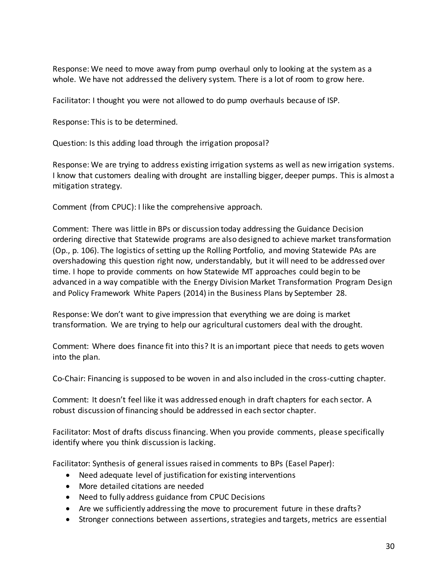Response: We need to move away from pump overhaul only to looking at the system as a whole. We have not addressed the delivery system. There is a lot of room to grow here.

Facilitator: I thought you were not allowed to do pump overhauls because of ISP.

Response: This is to be determined.

Question: Is this adding load through the irrigation proposal?

Response: We are trying to address existing irrigation systems as well as new irrigation systems. I know that customers dealing with drought are installing bigger, deeper pumps. This is almost a mitigation strategy.

Comment (from CPUC): I like the comprehensive approach.

Comment: There was little in BPs or discussion today addressing the Guidance Decision ordering directive that Statewide programs are also designed to achieve market transformation (Op., p. 106). The logistics of setting up the Rolling Portfolio, and moving Statewide PAs are overshadowing this question right now, understandably, but it will need to be addressed over time. I hope to provide comments on how Statewide MT approaches could begin to be advanced in a way compatible with the Energy Division Market Transformation Program Design and Policy Framework White Papers (2014) in the Business Plans by September 28.

Response: We don't want to give impression that everything we are doing is market transformation. We are trying to help our agricultural customers deal with the drought.

Comment: Where does finance fit into this? It is an important piece that needs to gets woven into the plan.

Co-Chair: Financing is supposed to be woven in and also included in the cross-cutting chapter.

Comment: It doesn't feel like it was addressed enough in draft chapters for each sector. A robust discussion of financing should be addressed in each sector chapter.

Facilitator: Most of drafts discuss financing. When you provide comments, please specifically identify where you think discussion is lacking.

Facilitator: Synthesis of general issues raised in comments to BPs (Easel Paper):

- Need adequate level of justification for existing interventions
- More detailed citations are needed
- Need to fully address guidance from CPUC Decisions
- Are we sufficiently addressing the move to procurement future in these drafts?
- Stronger connections between assertions, strategies and targets, metrics are essential